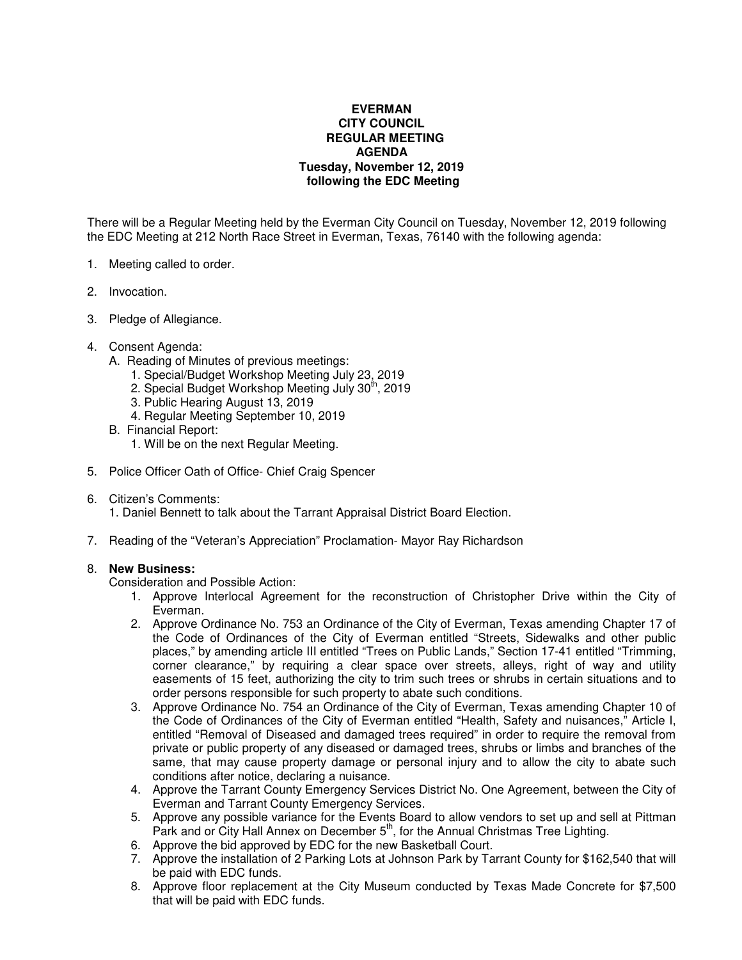## **EVERMAN CITY COUNCIL REGULAR MEETING AGENDA Tuesday, November 12, 2019 following the EDC Meeting**

There will be a Regular Meeting held by the Everman City Council on Tuesday, November 12, 2019 following the EDC Meeting at 212 North Race Street in Everman, Texas, 76140 with the following agenda:

- 1. Meeting called to order.
- 2. Invocation.
- 3. Pledge of Allegiance.
- 4. Consent Agenda:
	- A. Reading of Minutes of previous meetings:
		- 1. Special/Budget Workshop Meeting July 23, 2019
		- 2. Special Budget Workshop Meeting July  $30<sup>th</sup>$ , 2019
		- 3. Public Hearing August 13, 2019
		- 4. Regular Meeting September 10, 2019
	- B. Financial Report:
		- 1. Will be on the next Regular Meeting.
- 5. Police Officer Oath of Office- Chief Craig Spencer
- 6. Citizen's Comments:

1. Daniel Bennett to talk about the Tarrant Appraisal District Board Election.

7. Reading of the "Veteran's Appreciation" Proclamation- Mayor Ray Richardson

## 8. **New Business:**

Consideration and Possible Action:

- 1. Approve Interlocal Agreement for the reconstruction of Christopher Drive within the City of Everman.
- 2. Approve Ordinance No. 753 an Ordinance of the City of Everman, Texas amending Chapter 17 of the Code of Ordinances of the City of Everman entitled "Streets, Sidewalks and other public places," by amending article III entitled "Trees on Public Lands," Section 17-41 entitled "Trimming, corner clearance," by requiring a clear space over streets, alleys, right of way and utility easements of 15 feet, authorizing the city to trim such trees or shrubs in certain situations and to order persons responsible for such property to abate such conditions.
- 3. Approve Ordinance No. 754 an Ordinance of the City of Everman, Texas amending Chapter 10 of the Code of Ordinances of the City of Everman entitled "Health, Safety and nuisances," Article I, entitled "Removal of Diseased and damaged trees required" in order to require the removal from private or public property of any diseased or damaged trees, shrubs or limbs and branches of the same, that may cause property damage or personal injury and to allow the city to abate such conditions after notice, declaring a nuisance.
- 4. Approve the Tarrant County Emergency Services District No. One Agreement, between the City of Everman and Tarrant County Emergency Services.
- 5. Approve any possible variance for the Events Board to allow vendors to set up and sell at Pittman Park and or City Hall Annex on December 5<sup>th</sup>, for the Annual Christmas Tree Lighting.
- 6. Approve the bid approved by EDC for the new Basketball Court.
- 7. Approve the installation of 2 Parking Lots at Johnson Park by Tarrant County for \$162,540 that will be paid with EDC funds.
- 8. Approve floor replacement at the City Museum conducted by Texas Made Concrete for \$7,500 that will be paid with EDC funds.